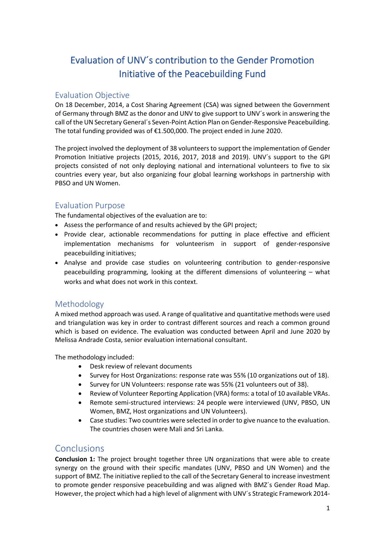# Evaluation of UNV´s contribution to the Gender Promotion Initiative of the Peacebuilding Fund

## Evaluation Objective

On 18 December, 2014, a Cost Sharing Agreement (CSA) was signed between the Government of Germany through BMZ as the donor and UNV to give support to UNV´s work in answering the call of the UN Secretary General´s Seven-Point Action Plan on Gender-Responsive Peacebuilding. The total funding provided was of €1.500,000. The project ended in June 2020.

The project involved the deployment of 38 volunteers to support the implementation of Gender Promotion Initiative projects (2015, 2016, 2017, 2018 and 2019). UNV´s support to the GPI projects consisted of not only deploying national and international volunteers to five to six countries every year, but also organizing four global learning workshops in partnership with PBSO and UN Women.

## Evaluation Purpose

The fundamental objectives of the evaluation are to:

- Assess the performance of and results achieved by the GPI project;
- Provide clear, actionable recommendations for putting in place effective and efficient implementation mechanisms for volunteerism in support of gender-responsive peacebuilding initiatives;
- Analyse and provide case studies on volunteering contribution to gender-responsive peacebuilding programming, looking at the different dimensions of volunteering – what works and what does not work in this context.

# Methodology

A mixed method approach was used. A range of qualitative and quantitative methods were used and triangulation was key in order to contrast different sources and reach a common ground which is based on evidence. The evaluation was conducted between April and June 2020 by Melissa Andrade Costa, senior evaluation international consultant.

The methodology included:

- Desk review of relevant documents
- Survey for Host Organizations: response rate was 55% (10 organizations out of 18).
- Survey for UN Volunteers: response rate was 55% (21 volunteers out of 38).
- Review of Volunteer Reporting Application (VRA) forms: a total of 10 available VRAs.
- Remote semi-structured interviews: 24 people were interviewed (UNV, PBSO, UN Women, BMZ, Host organizations and UN Volunteers).
- Case studies: Two countries were selected in order to give nuance to the evaluation. The countries chosen were Mali and Sri Lanka.

# Conclusions

**Conclusion 1:** The project brought together three UN organizations that were able to create synergy on the ground with their specific mandates (UNV, PBSO and UN Women) and the support of BMZ. The initiative replied to the call of the Secretary General to increase investment to promote gender responsive peacebuilding and was aligned with BMZ´s Gender Road Map. However, the project which had a high level of alignment with UNV´s Strategic Framework 2014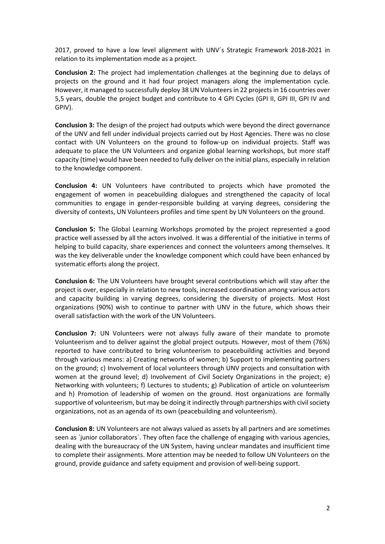2017, proved to have a low level alignment with UNV´s Strategic Framework 2018-2021 in relation to its implementation mode as a project.

**Conclusion 2:** The project had implementation challenges at the beginning due to delays of projects on the ground and it had four project managers along the implementation cycle. However, it managed to successfully deploy 38 UN Volunteers in 22 projects in 16 countries over 5,5 years, double the project budget and contribute to 4 GPI Cycles (GPI II, GPI III, GPI IV and GPIV).

**Conclusion 3:** The design of the project had outputs which were beyond the direct governance of the UNV and fell under individual projects carried out by Host Agencies. There was no close contact with UN Volunteers on the ground to follow-up on individual projects. Staff was adequate to place the UN Volunteers and organize global learning workshops, but more staff capacity (time) would have been needed to fully deliver on the initial plans, especially in relation to the knowledge component.

**Conclusion 4:** UN Volunteers have contributed to projects which have promoted the engagement of women in peacebuilding dialogues and strengthened the capacity of local communities to engage in gender-responsible building at varying degrees, considering the diversity of contexts, UN Volunteers profiles and time spent by UN Volunteers on the ground.

**Conclusion 5:** The Global Learning Workshops promoted by the project represented a good practice well assessed by all the actors involved. It was a differential of the initiative in terms of helping to build capacity, share experiences and connect the volunteers among themselves. It was the key deliverable under the knowledge component which could have been enhanced by systematic efforts along the project.

**Conclusion 6:** The UN Volunteers have brought several contributions which will stay after the project is over, especially in relation to new tools, increased coordination among various actors and capacity building in varying degrees, considering the diversity of projects. Most Host organizations (90%) wish to continue to partner with UNV in the future, which shows their overall satisfaction with the work of the UN Volunteers.

**Conclusion 7:** UN Volunteers were not always fully aware of their mandate to promote Volunteerism and to deliver against the global project outputs. However, most of them (76%) reported to have contributed to bring volunteerism to peacebuilding activities and beyond through various means: a) Creating networks of women; b) Support to implementing partners on the ground; c) Involvement of local volunteers through UNV projects and consultation with women at the ground level; d) Involvement of Civil Society Organizations in the project; e) Networking with volunteers; f) Lectures to students; g) Publication of article on volunteerism and h) Promotion of leadership of women on the ground. Host organizations are formally supportive of volunteerism, but may be doing it indirectly through partnerships with civil society organizations, not as an agenda of its own (peacebuilding and volunteerism).

**Conclusion 8:** UN Volunteers are not always valued as assets by all partners and are sometimes seen as ´junior collaborators`. They often face the challenge of engaging with various agencies, dealing with the bureaucracy of the UN System, having unclear mandates and insufficient time to complete their assignments. More attention may be needed to follow UN Volunteers on the ground, provide guidance and safety equipment and provision of well-being support.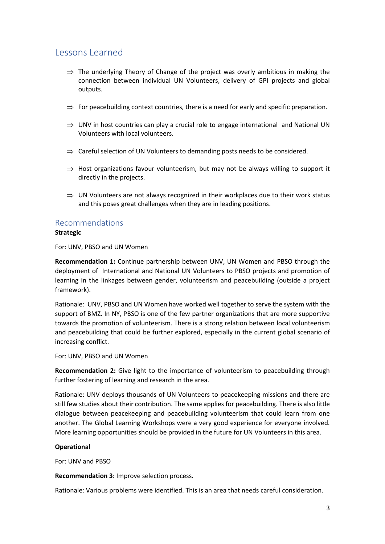# Lessons Learned

- $\Rightarrow$  The underlying Theory of Change of the project was overly ambitious in making the connection between individual UN Volunteers, delivery of GPI projects and global outputs.
- $\Rightarrow$  For peacebuilding context countries, there is a need for early and specific preparation.
- $\Rightarrow$  UNV in host countries can play a crucial role to engage international and National UN Volunteers with local volunteers.
- $\Rightarrow$  Careful selection of UN Volunteers to demanding posts needs to be considered.
- $\Rightarrow$  Host organizations favour volunteerism, but may not be always willing to support it directly in the projects.
- $\Rightarrow$  UN Volunteers are not always recognized in their workplaces due to their work status and this poses great challenges when they are in leading positions.

## Recommendations

#### **Strategic**

For: UNV, PBSO and UN Women

**Recommendation 1:** Continue partnership between UNV, UN Women and PBSO through the deployment of International and National UN Volunteers to PBSO projects and promotion of learning in the linkages between gender, volunteerism and peacebuilding (outside a project framework).

Rationale: UNV, PBSO and UN Women have worked well together to serve the system with the support of BMZ. In NY, PBSO is one of the few partner organizations that are more supportive towards the promotion of volunteerism. There is a strong relation between local volunteerism and peacebuilding that could be further explored, especially in the current global scenario of increasing conflict.

For: UNV, PBSO and UN Women

**Recommendation 2:** Give light to the importance of volunteerism to peacebuilding through further fostering of learning and research in the area.

Rationale: UNV deploys thousands of UN Volunteers to peacekeeping missions and there are still few studies about their contribution. The same applies for peacebuilding. There is also little dialogue between peacekeeping and peacebuilding volunteerism that could learn from one another. The Global Learning Workshops were a very good experience for everyone involved. More learning opportunities should be provided in the future for UN Volunteers in this area.

#### **Operational**

For: UNV and PBSO

**Recommendation 3:** Improve selection process.

Rationale: Various problems were identified. This is an area that needs careful consideration.